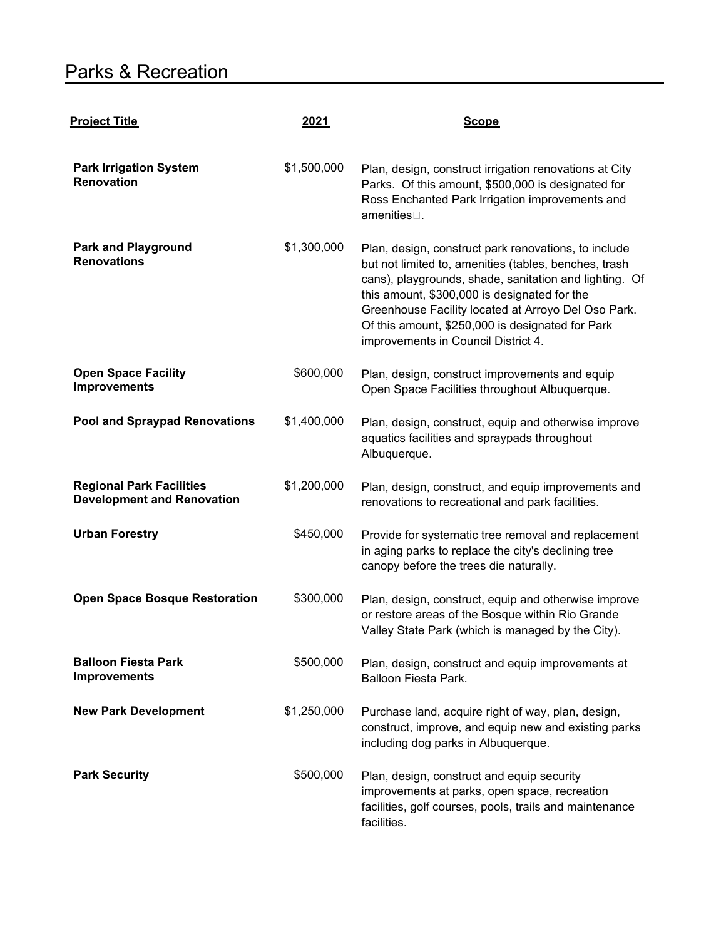## Parks & Recreation

| <b>Project Title</b>                                                 | 2021        | <b>Scope</b>                                                                                                                                                                                                                                                                                                                                                              |
|----------------------------------------------------------------------|-------------|---------------------------------------------------------------------------------------------------------------------------------------------------------------------------------------------------------------------------------------------------------------------------------------------------------------------------------------------------------------------------|
| <b>Park Irrigation System</b><br><b>Renovation</b>                   | \$1,500,000 | Plan, design, construct irrigation renovations at City<br>Parks. Of this amount, \$500,000 is designated for<br>Ross Enchanted Park Irrigation improvements and<br>amenities $\square$ .                                                                                                                                                                                  |
| <b>Park and Playground</b><br><b>Renovations</b>                     | \$1,300,000 | Plan, design, construct park renovations, to include<br>but not limited to, amenities (tables, benches, trash<br>cans), playgrounds, shade, sanitation and lighting. Of<br>this amount, \$300,000 is designated for the<br>Greenhouse Facility located at Arroyo Del Oso Park.<br>Of this amount, \$250,000 is designated for Park<br>improvements in Council District 4. |
| <b>Open Space Facility</b><br><b>Improvements</b>                    | \$600,000   | Plan, design, construct improvements and equip<br>Open Space Facilities throughout Albuquerque.                                                                                                                                                                                                                                                                           |
| <b>Pool and Spraypad Renovations</b>                                 | \$1,400,000 | Plan, design, construct, equip and otherwise improve<br>aquatics facilities and spraypads throughout<br>Albuquerque.                                                                                                                                                                                                                                                      |
| <b>Regional Park Facilities</b><br><b>Development and Renovation</b> | \$1,200,000 | Plan, design, construct, and equip improvements and<br>renovations to recreational and park facilities.                                                                                                                                                                                                                                                                   |
| <b>Urban Forestry</b>                                                | \$450,000   | Provide for systematic tree removal and replacement<br>in aging parks to replace the city's declining tree<br>canopy before the trees die naturally.                                                                                                                                                                                                                      |
| <b>Open Space Bosque Restoration</b>                                 | \$300,000   | Plan, design, construct, equip and otherwise improve<br>or restore areas of the Bosque within Rio Grande<br>Valley State Park (which is managed by the City).                                                                                                                                                                                                             |
| <b>Balloon Fiesta Park</b><br><b>Improvements</b>                    | \$500,000   | Plan, design, construct and equip improvements at<br>Balloon Fiesta Park.                                                                                                                                                                                                                                                                                                 |
| <b>New Park Development</b>                                          | \$1,250,000 | Purchase land, acquire right of way, plan, design,<br>construct, improve, and equip new and existing parks<br>including dog parks in Albuquerque.                                                                                                                                                                                                                         |
| <b>Park Security</b>                                                 | \$500,000   | Plan, design, construct and equip security<br>improvements at parks, open space, recreation<br>facilities, golf courses, pools, trails and maintenance<br>facilities.                                                                                                                                                                                                     |